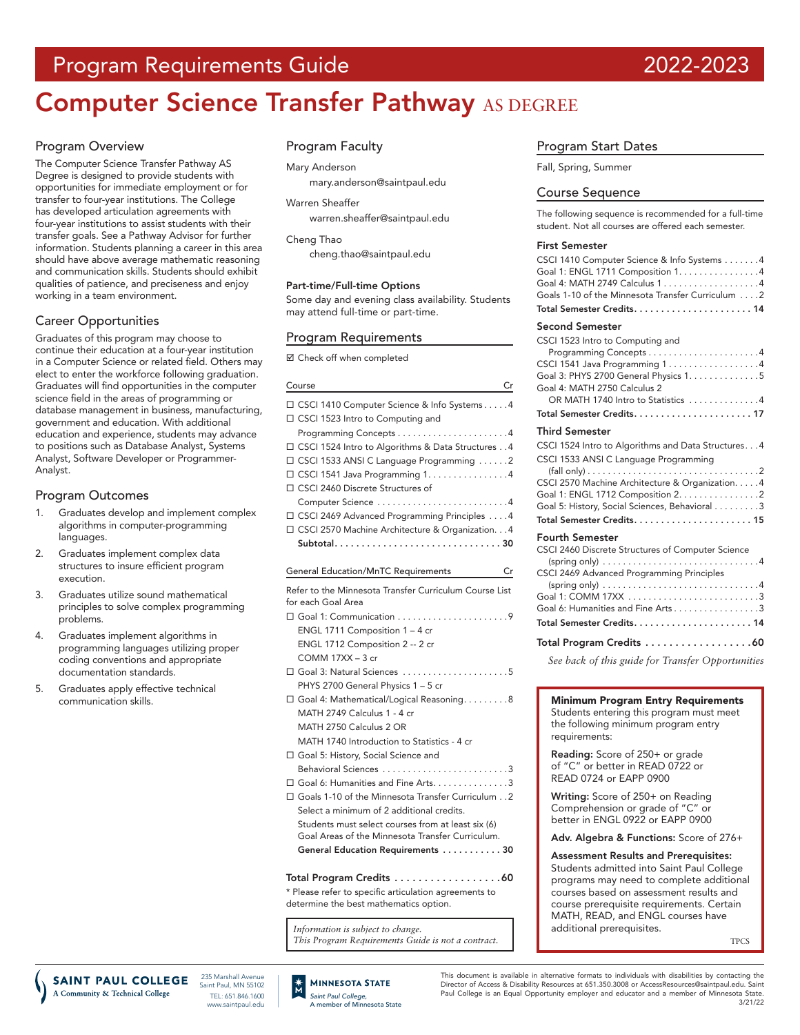# Program Requirements Guide 2022-2023

# **Computer Science Transfer Pathway AS DEGREE**

#### Program Overview

The Computer Science Transfer Pathway AS Degree is designed to provide students with opportunities for immediate employment or for transfer to four-year institutions. The College has developed articulation agreements with four-year institutions to assist students with their transfer goals. See a Pathway Advisor for further information. Students planning a career in this area should have above average mathematic reasoning and communication skills. Students should exhibit qualities of patience, and preciseness and enjoy working in a team environment.

### Career Opportunities

Graduates of this program may choose to continue their education at a four-year institution in a Computer Science or related field. Others may elect to enter the workforce following graduation. Graduates will find opportunities in the computer science field in the areas of programming or database management in business, manufacturing, government and education. With additional education and experience, students may advance to positions such as Database Analyst, Systems Analyst, Software Developer or Programmer-Analyst.

#### Program Outcomes

- 1. Graduates develop and implement complex algorithms in computer-programming languages.
- 2. Graduates implement complex data structures to insure efficient program execution.
- 3. Graduates utilize sound mathematical principles to solve complex programming problems.
- 4. Graduates implement algorithms in programming languages utilizing proper coding conventions and appropriate documentation standards.
- 5. Graduates apply effective technical communication skills.

#### Program Faculty

#### Mary Anderson

mary.anderson@saintpaul.edu

#### Warren Sheaffer

[warren.sheaffer@saintpaul.edu](mailto:warren.sheaffer%40saintpaul.edu?subject=)

Cheng Thao

cheng.thao@saintpaul.edu

#### Part-time/Full-time Options

Some day and evening class availability. Students may attend full-time or part-time.

#### Program Requirements

Check off when completed

| Course<br>Cr                                                                       |
|------------------------------------------------------------------------------------|
| □ CSCI 1410 Computer Science & Info Systems4<br>□ CSCI 1523 Intro to Computing and |
|                                                                                    |
| □ CSCI 1524 Intro to Algorithms & Data Structures 4                                |
| □ CSCI 1533 ANSI C Language Programming 2                                          |
| $\Box$ CSCI 1541 Java Programming 1. 4                                             |
| □ CSCI 2460 Discrete Structures of                                                 |
|                                                                                    |
| □ CSCI 2469 Advanced Programming Principles 4                                      |
| □ CSCI 2570 Machine Architecture & Organization. 4                                 |
|                                                                                    |
|                                                                                    |
| <b>General Education/MnTC Requirements</b><br>Cr                                   |
| Refer to the Minnesota Transfer Curriculum Course List                             |
| for each Goal Area                                                                 |
|                                                                                    |
| ENGL 1711 Composition 1 - 4 cr                                                     |
| ENGL 1712 Composition 2 -- 2 cr                                                    |
| COMM 17XX - 3 cr                                                                   |
| $\Box$ Goal 3: Natural Sciences $\ldots \ldots \ldots \ldots \ldots \ldots$        |
| PHYS 2700 General Physics 1 - 5 cr                                                 |
| □ Goal 4: Mathematical/Logical Reasoning8                                          |
| MATH 2749 Calculus 1 - 4 cr                                                        |
| MATH 2750 Calculus 2 OR                                                            |
| MATH 1740 Introduction to Statistics - 4 cr                                        |
| □ Goal 5: History, Social Science and                                              |
| Behavioral Sciences 3                                                              |
| $\square$ Goal 6: Humanities and Fine Arts. 3                                      |
| □ Goals 1-10 of the Minnesota Transfer Curriculum2                                 |
| Select a minimum of 2 additional credits.                                          |
| Students must select courses from at least six (6)                                 |
| Goal Areas of the Minnesota Transfer Curriculum.                                   |
| General Education Requirements 30                                                  |
| Total Program Credits 60                                                           |

\* Please refer to specific articulation agreements to determine the best mathematics option.

*Information is subject to change. This Program Requirements Guide is not a contract.*

#### Program Start Dates

Fall, Spring, Summer

#### Course Sequence

The following sequence is recommended for a full-time student. Not all courses are offered each semester.

#### First Semester

| CSCI 1410 Computer Science & Info Systems 4<br>Goal 1: ENGL 1711 Composition 1. 4<br>Goal 4: MATH 2749 Calculus 14<br>Goals 1-10 of the Minnesota Transfer Curriculum 2                                                                                                                                                                   |
|-------------------------------------------------------------------------------------------------------------------------------------------------------------------------------------------------------------------------------------------------------------------------------------------------------------------------------------------|
|                                                                                                                                                                                                                                                                                                                                           |
| <b>Second Semester</b><br>CSCI 1523 Intro to Computing and<br>CSCI 1541 Java Programming 14<br>Goal 3: PHYS 2700 General Physics 1. 5<br>Goal 4: MATH 2750 Calculus 2<br>OR MATH 1740 Intro to Statistics 4                                                                                                                               |
| Total Semester Credits17                                                                                                                                                                                                                                                                                                                  |
| Third Semester                                                                                                                                                                                                                                                                                                                            |
| CSCI 1524 Intro to Algorithms and Data Structures4<br>CSCI 1533 ANSI C Language Programming<br>CSCI 2570 Machine Architecture & Organization. 4<br>Goal 1: ENGL 1712 Composition 2. 2<br>Goal 5: History, Social Sciences, Behavioral 3                                                                                                   |
| <b>Fourth Semester</b><br>CSCI 2460 Discrete Structures of Computer Science<br>(spring only) $\dots \dots \dots \dots \dots \dots \dots \dots \dots \dots \dots 4$<br>CSCI 2469 Advanced Programming Principles<br>(spring only) $\dots \dots \dots \dots \dots \dots \dots \dots \dots \dots \dots$<br>Goal 6: Humanities and Fine Arts3 |
| Total Program Credits 60                                                                                                                                                                                                                                                                                                                  |
| See back of this guide for Transfer Opportunities                                                                                                                                                                                                                                                                                         |

Minimum Program Entry Requirements Students entering this program must meet the following minimum program entry requirements:

Reading: Score of 250+ or grade of "C" or better in READ 0722 or READ 0724 or EAPP 0900

Writing: Score of 250+ on Reading Comprehension or grade of "C" or better in ENGL 0922 or EAPP 0900

#### Adv. Algebra & Functions: Score of 276+

Assessment Results and Prerequisites: Students admitted into Saint Paul College programs may need to complete additional courses based on assessment results and course prerequisite requirements. Certain MATH, READ, and ENGL courses have additional prerequisites.

TPCS

**SAINT PAUL COLLEGE** A Community & Technical College

235 Marshall Avenue Saint Paul, MN 55102 TEL: 651.846.1600 www.saintpaul.edu



This document is available in alternative formats to individuals with disabilities by contacting the Director of Access & Disability Resources at 651.350.3008 or AccessResources@saintpaul.edu. Saint Paul College is an Equal Opportunity employer and educator and a member of Minnesota State. 3/21/22